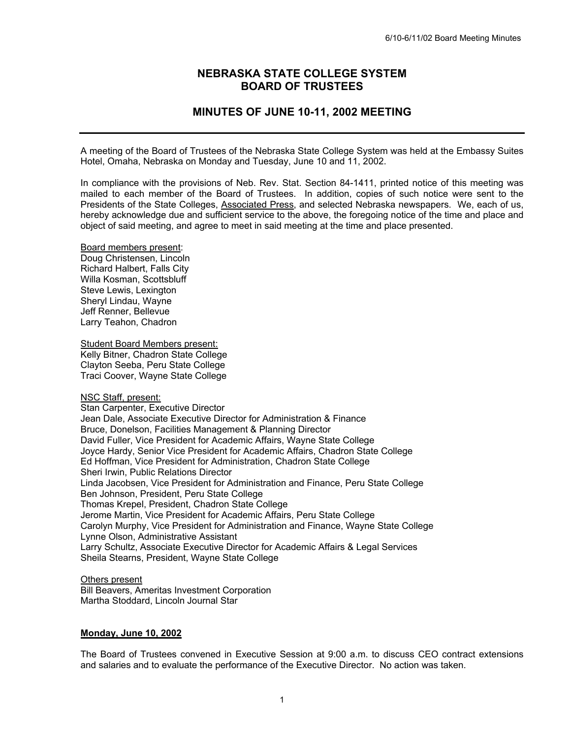# **NEBRASKA STATE COLLEGE SYSTEM BOARD OF TRUSTEES**

# **MINUTES OF JUNE 10-11, 2002 MEETING**

A meeting of the Board of Trustees of the Nebraska State College System was held at the Embassy Suites Hotel, Omaha, Nebraska on Monday and Tuesday, June 10 and 11, 2002.

In compliance with the provisions of Neb. Rev. Stat. Section 84-1411, printed notice of this meeting was mailed to each member of the Board of Trustees. In addition, copies of such notice were sent to the Presidents of the State Colleges, Associated Press, and selected Nebraska newspapers. We, each of us, hereby acknowledge due and sufficient service to the above, the foregoing notice of the time and place and object of said meeting, and agree to meet in said meeting at the time and place presented.

Board members present: Doug Christensen, Lincoln Richard Halbert, Falls City Willa Kosman, Scottsbluff Steve Lewis, Lexington Sheryl Lindau, Wayne Jeff Renner, Bellevue Larry Teahon, Chadron

Student Board Members present: Kelly Bitner, Chadron State College Clayton Seeba, Peru State College Traci Coover, Wayne State College

NSC Staff, present:

Stan Carpenter, Executive Director Jean Dale, Associate Executive Director for Administration & Finance Bruce, Donelson, Facilities Management & Planning Director David Fuller, Vice President for Academic Affairs, Wayne State College Joyce Hardy, Senior Vice President for Academic Affairs, Chadron State College Ed Hoffman, Vice President for Administration, Chadron State College Sheri Irwin, Public Relations Director Linda Jacobsen, Vice President for Administration and Finance, Peru State College Ben Johnson, President, Peru State College Thomas Krepel, President, Chadron State College Jerome Martin, Vice President for Academic Affairs, Peru State College Carolyn Murphy, Vice President for Administration and Finance, Wayne State College Lynne Olson, Administrative Assistant Larry Schultz, Associate Executive Director for Academic Affairs & Legal Services Sheila Stearns, President, Wayne State College

Others present Bill Beavers, Ameritas Investment Corporation Martha Stoddard, Lincoln Journal Star

#### **Monday, June 10, 2002**

The Board of Trustees convened in Executive Session at 9:00 a.m. to discuss CEO contract extensions and salaries and to evaluate the performance of the Executive Director. No action was taken.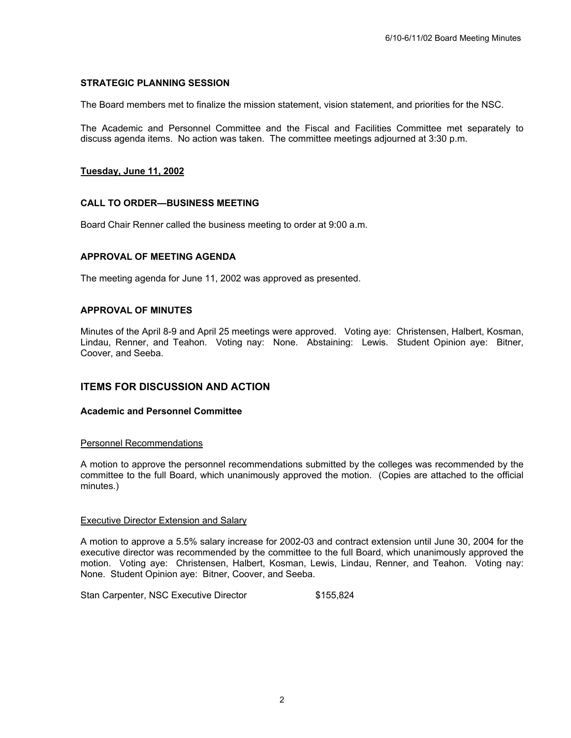## **STRATEGIC PLANNING SESSION**

The Board members met to finalize the mission statement, vision statement, and priorities for the NSC.

The Academic and Personnel Committee and the Fiscal and Facilities Committee met separately to discuss agenda items. No action was taken. The committee meetings adjourned at 3:30 p.m.

## **Tuesday, June 11, 2002**

## **CALL TO ORDER—BUSINESS MEETING**

Board Chair Renner called the business meeting to order at 9:00 a.m.

## **APPROVAL OF MEETING AGENDA**

The meeting agenda for June 11, 2002 was approved as presented.

## **APPROVAL OF MINUTES**

Minutes of the April 8-9 and April 25 meetings were approved. Voting aye: Christensen, Halbert, Kosman, Lindau, Renner, and Teahon. Voting nay: None. Abstaining: Lewis. Student Opinion aye: Bitner, Coover, and Seeba.

# **ITEMS FOR DISCUSSION AND ACTION**

#### **Academic and Personnel Committee**

#### Personnel Recommendations

A motion to approve the personnel recommendations submitted by the colleges was recommended by the committee to the full Board, which unanimously approved the motion. (Copies are attached to the official minutes.)

#### Executive Director Extension and Salary

A motion to approve a 5.5% salary increase for 2002-03 and contract extension until June 30, 2004 for the executive director was recommended by the committee to the full Board, which unanimously approved the motion. Voting aye: Christensen, Halbert, Kosman, Lewis, Lindau, Renner, and Teahon. Voting nay: None. Student Opinion aye: Bitner, Coover, and Seeba.

Stan Carpenter, NSC Executive Director  $$155,824$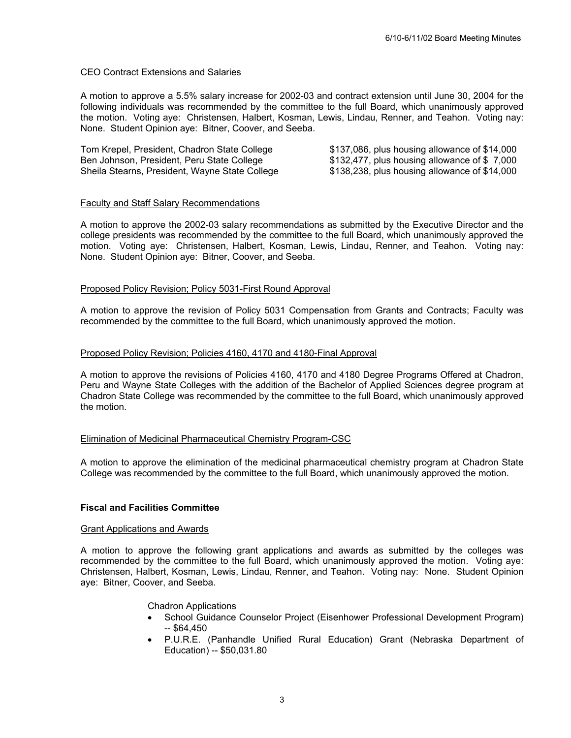# CEO Contract Extensions and Salaries

A motion to approve a 5.5% salary increase for 2002-03 and contract extension until June 30, 2004 for the following individuals was recommended by the committee to the full Board, which unanimously approved the motion. Voting aye: Christensen, Halbert, Kosman, Lewis, Lindau, Renner, and Teahon. Voting nay: None. Student Opinion aye: Bitner, Coover, and Seeba.

| Tom Krepel, President, Chadron State College   | $$137,086$ , plus housing allowance of $$14,000$ |
|------------------------------------------------|--------------------------------------------------|
| Ben Johnson, President, Peru State College     | \$132,477, plus housing allowance of \$7,000     |
| Sheila Stearns, President, Wayne State College | $$138,238$ , plus housing allowance of $$14,000$ |

## Faculty and Staff Salary Recommendations

A motion to approve the 2002-03 salary recommendations as submitted by the Executive Director and the college presidents was recommended by the committee to the full Board, which unanimously approved the motion. Voting aye: Christensen, Halbert, Kosman, Lewis, Lindau, Renner, and Teahon. Voting nay: None. Student Opinion aye: Bitner, Coover, and Seeba.

## Proposed Policy Revision; Policy 5031-First Round Approval

A motion to approve the revision of Policy 5031 Compensation from Grants and Contracts; Faculty was recommended by the committee to the full Board, which unanimously approved the motion.

## Proposed Policy Revision; Policies 4160, 4170 and 4180-Final Approval

A motion to approve the revisions of Policies 4160, 4170 and 4180 Degree Programs Offered at Chadron, Peru and Wayne State Colleges with the addition of the Bachelor of Applied Sciences degree program at Chadron State College was recommended by the committee to the full Board, which unanimously approved the motion.

#### Elimination of Medicinal Pharmaceutical Chemistry Program-CSC

A motion to approve the elimination of the medicinal pharmaceutical chemistry program at Chadron State College was recommended by the committee to the full Board, which unanimously approved the motion.

## **Fiscal and Facilities Committee**

#### Grant Applications and Awards

A motion to approve the following grant applications and awards as submitted by the colleges was recommended by the committee to the full Board, which unanimously approved the motion. Voting aye: Christensen, Halbert, Kosman, Lewis, Lindau, Renner, and Teahon. Voting nay: None. Student Opinion aye: Bitner, Coover, and Seeba.

Chadron Applications

- School Guidance Counselor Project (Eisenhower Professional Development Program)  $-$  \$64,450
- P.U.R.E. (Panhandle Unified Rural Education) Grant (Nebraska Department of Education) -- \$50,031.80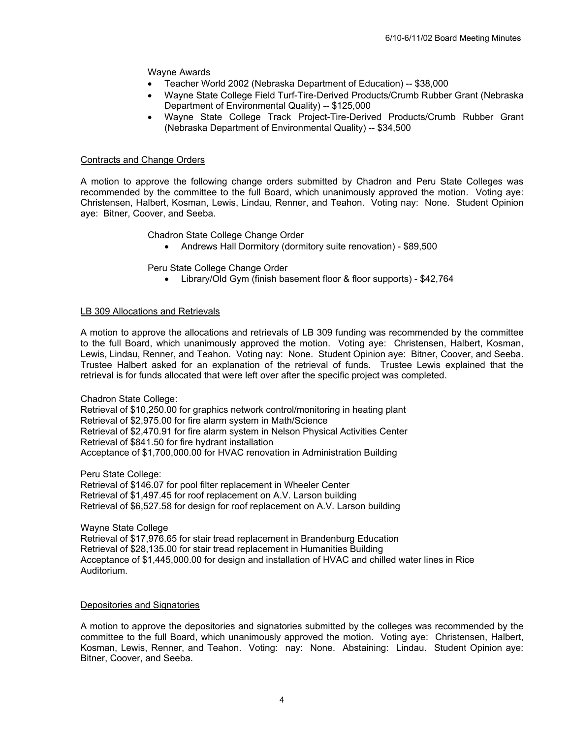## Wayne Awards

- Teacher World 2002 (Nebraska Department of Education) -- \$38,000
- Wayne State College Field Turf-Tire-Derived Products/Crumb Rubber Grant (Nebraska Department of Environmental Quality) -- \$125,000
- Wayne State College Track Project-Tire-Derived Products/Crumb Rubber Grant (Nebraska Department of Environmental Quality) -- \$34,500

#### Contracts and Change Orders

A motion to approve the following change orders submitted by Chadron and Peru State Colleges was recommended by the committee to the full Board, which unanimously approved the motion. Voting aye: Christensen, Halbert, Kosman, Lewis, Lindau, Renner, and Teahon. Voting nay: None. Student Opinion aye: Bitner, Coover, and Seeba.

Chadron State College Change Order

• Andrews Hall Dormitory (dormitory suite renovation) - \$89,500

Peru State College Change Order

• Library/Old Gym (finish basement floor & floor supports) - \$42,764

#### LB 309 Allocations and Retrievals

A motion to approve the allocations and retrievals of LB 309 funding was recommended by the committee to the full Board, which unanimously approved the motion. Voting aye: Christensen, Halbert, Kosman, Lewis, Lindau, Renner, and Teahon. Voting nay: None. Student Opinion aye: Bitner, Coover, and Seeba. Trustee Halbert asked for an explanation of the retrieval of funds. Trustee Lewis explained that the retrieval is for funds allocated that were left over after the specific project was completed.

Chadron State College: Retrieval of \$10,250.00 for graphics network control/monitoring in heating plant Retrieval of \$2,975.00 for fire alarm system in Math/Science Retrieval of \$2,470.91 for fire alarm system in Nelson Physical Activities Center Retrieval of \$841.50 for fire hydrant installation Acceptance of \$1,700,000.00 for HVAC renovation in Administration Building

Peru State College:

Retrieval of \$146.07 for pool filter replacement in Wheeler Center Retrieval of \$1,497.45 for roof replacement on A.V. Larson building Retrieval of \$6,527.58 for design for roof replacement on A.V. Larson building

Wayne State College Retrieval of \$17,976.65 for stair tread replacement in Brandenburg Education Retrieval of \$28,135.00 for stair tread replacement in Humanities Building Acceptance of \$1,445,000.00 for design and installation of HVAC and chilled water lines in Rice Auditorium.

#### Depositories and Signatories

A motion to approve the depositories and signatories submitted by the colleges was recommended by the committee to the full Board, which unanimously approved the motion. Voting aye: Christensen, Halbert, Kosman, Lewis, Renner, and Teahon. Voting: nay: None. Abstaining: Lindau. Student Opinion aye: Bitner, Coover, and Seeba.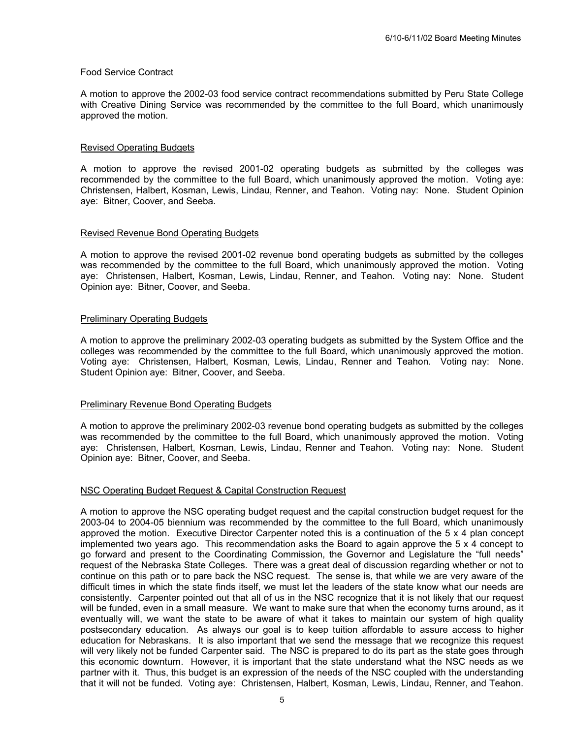# Food Service Contract

A motion to approve the 2002-03 food service contract recommendations submitted by Peru State College with Creative Dining Service was recommended by the committee to the full Board, which unanimously approved the motion.

## Revised Operating Budgets

A motion to approve the revised 2001-02 operating budgets as submitted by the colleges was recommended by the committee to the full Board, which unanimously approved the motion. Voting aye: Christensen, Halbert, Kosman, Lewis, Lindau, Renner, and Teahon. Voting nay: None. Student Opinion aye: Bitner, Coover, and Seeba.

## Revised Revenue Bond Operating Budgets

A motion to approve the revised 2001-02 revenue bond operating budgets as submitted by the colleges was recommended by the committee to the full Board, which unanimously approved the motion. Voting aye: Christensen, Halbert, Kosman, Lewis, Lindau, Renner, and Teahon. Voting nay: None. Student Opinion aye: Bitner, Coover, and Seeba.

## Preliminary Operating Budgets

A motion to approve the preliminary 2002-03 operating budgets as submitted by the System Office and the colleges was recommended by the committee to the full Board, which unanimously approved the motion. Voting aye: Christensen, Halbert, Kosman, Lewis, Lindau, Renner and Teahon. Voting nay: None. Student Opinion aye: Bitner, Coover, and Seeba.

#### Preliminary Revenue Bond Operating Budgets

A motion to approve the preliminary 2002-03 revenue bond operating budgets as submitted by the colleges was recommended by the committee to the full Board, which unanimously approved the motion. Voting aye: Christensen, Halbert, Kosman, Lewis, Lindau, Renner and Teahon. Voting nay: None. Student Opinion aye: Bitner, Coover, and Seeba.

#### NSC Operating Budget Request & Capital Construction Request

A motion to approve the NSC operating budget request and the capital construction budget request for the 2003-04 to 2004-05 biennium was recommended by the committee to the full Board, which unanimously approved the motion. Executive Director Carpenter noted this is a continuation of the 5 x 4 plan concept implemented two years ago. This recommendation asks the Board to again approve the 5 x 4 concept to go forward and present to the Coordinating Commission, the Governor and Legislature the "full needs" request of the Nebraska State Colleges. There was a great deal of discussion regarding whether or not to continue on this path or to pare back the NSC request. The sense is, that while we are very aware of the difficult times in which the state finds itself, we must let the leaders of the state know what our needs are consistently. Carpenter pointed out that all of us in the NSC recognize that it is not likely that our request will be funded, even in a small measure. We want to make sure that when the economy turns around, as it eventually will, we want the state to be aware of what it takes to maintain our system of high quality postsecondary education. As always our goal is to keep tuition affordable to assure access to higher education for Nebraskans. It is also important that we send the message that we recognize this request will very likely not be funded Carpenter said. The NSC is prepared to do its part as the state goes through this economic downturn. However, it is important that the state understand what the NSC needs as we partner with it. Thus, this budget is an expression of the needs of the NSC coupled with the understanding that it will not be funded. Voting aye: Christensen, Halbert, Kosman, Lewis, Lindau, Renner, and Teahon.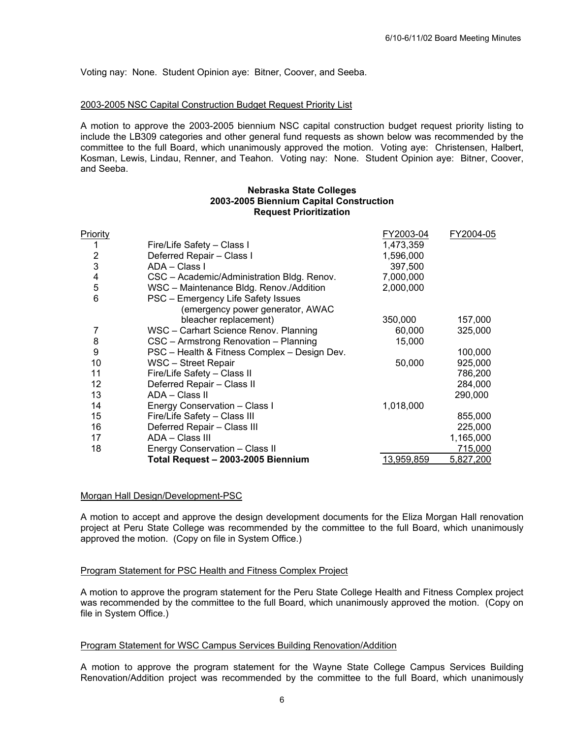Voting nay: None. Student Opinion aye: Bitner, Coover, and Seeba.

#### 2003-2005 NSC Capital Construction Budget Request Priority List

A motion to approve the 2003-2005 biennium NSC capital construction budget request priority listing to include the LB309 categories and other general fund requests as shown below was recommended by the committee to the full Board, which unanimously approved the motion. Voting aye: Christensen, Halbert, Kosman, Lewis, Lindau, Renner, and Teahon. Voting nay: None. Student Opinion aye: Bitner, Coover, and Seeba.

#### **Nebraska State Colleges 2003-2005 Biennium Capital Construction Request Prioritization**

| Priority       |                                              | FY2003-04  | FY2004-05 |
|----------------|----------------------------------------------|------------|-----------|
| 1              | Fire/Life Safety - Class I                   | 1,473,359  |           |
| $\overline{2}$ | Deferred Repair - Class I                    | 1,596,000  |           |
| 3              | ADA - Class I                                | 397,500    |           |
| 4              | CSC - Academic/Administration Bldg. Renov.   | 7,000,000  |           |
| 5              | WSC - Maintenance Bldg. Renov./Addition      | 2,000,000  |           |
| 6              | PSC - Emergency Life Safety Issues           |            |           |
|                | (emergency power generator, AWAC             |            |           |
|                | bleacher replacement)                        | 350,000    | 157,000   |
| 7              | WSC - Carhart Science Renov. Planning        | 60,000     | 325,000   |
| 8              | CSC - Armstrong Renovation - Planning        | 15,000     |           |
| 9              | PSC - Health & Fitness Complex - Design Dev. |            | 100,000   |
| 10             | WSC - Street Repair                          | 50,000     | 925,000   |
| 11             | Fire/Life Safety - Class II                  |            | 786,200   |
| 12             | Deferred Repair - Class II                   |            | 284,000   |
| 13             | ADA - Class II                               |            | 290,000   |
| 14             | Energy Conservation - Class I                | 1,018,000  |           |
| 15             | Fire/Life Safety - Class III                 |            | 855,000   |
| 16             | Deferred Repair - Class III                  |            | 225,000   |
| 17             | ADA - Class III                              |            | 1,165,000 |
| 18             | Energy Conservation - Class II               |            | 715,000   |
|                | Total Request - 2003-2005 Biennium           | 13,959,859 | 5,827,200 |

#### Morgan Hall Design/Development-PSC

A motion to accept and approve the design development documents for the Eliza Morgan Hall renovation project at Peru State College was recommended by the committee to the full Board, which unanimously approved the motion. (Copy on file in System Office.)

#### Program Statement for PSC Health and Fitness Complex Project

A motion to approve the program statement for the Peru State College Health and Fitness Complex project was recommended by the committee to the full Board, which unanimously approved the motion. (Copy on file in System Office.)

#### Program Statement for WSC Campus Services Building Renovation/Addition

A motion to approve the program statement for the Wayne State College Campus Services Building Renovation/Addition project was recommended by the committee to the full Board, which unanimously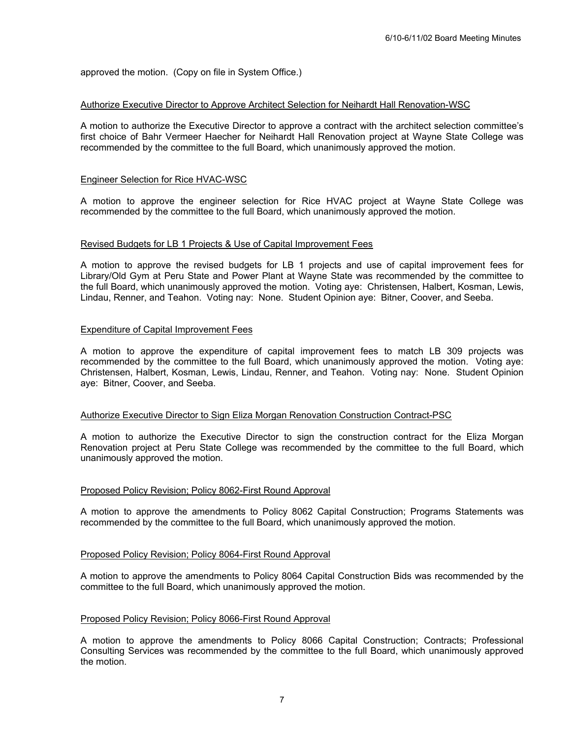approved the motion. (Copy on file in System Office.)

#### Authorize Executive Director to Approve Architect Selection for Neihardt Hall Renovation-WSC

A motion to authorize the Executive Director to approve a contract with the architect selection committee's first choice of Bahr Vermeer Haecher for Neihardt Hall Renovation project at Wayne State College was recommended by the committee to the full Board, which unanimously approved the motion.

## Engineer Selection for Rice HVAC-WSC

A motion to approve the engineer selection for Rice HVAC project at Wayne State College was recommended by the committee to the full Board, which unanimously approved the motion.

#### Revised Budgets for LB 1 Projects & Use of Capital Improvement Fees

A motion to approve the revised budgets for LB 1 projects and use of capital improvement fees for Library/Old Gym at Peru State and Power Plant at Wayne State was recommended by the committee to the full Board, which unanimously approved the motion. Voting aye: Christensen, Halbert, Kosman, Lewis, Lindau, Renner, and Teahon. Voting nay: None. Student Opinion aye: Bitner, Coover, and Seeba.

#### Expenditure of Capital Improvement Fees

A motion to approve the expenditure of capital improvement fees to match LB 309 projects was recommended by the committee to the full Board, which unanimously approved the motion. Voting aye: Christensen, Halbert, Kosman, Lewis, Lindau, Renner, and Teahon. Voting nay: None. Student Opinion aye: Bitner, Coover, and Seeba.

## Authorize Executive Director to Sign Eliza Morgan Renovation Construction Contract-PSC

A motion to authorize the Executive Director to sign the construction contract for the Eliza Morgan Renovation project at Peru State College was recommended by the committee to the full Board, which unanimously approved the motion.

#### Proposed Policy Revision; Policy 8062-First Round Approval

A motion to approve the amendments to Policy 8062 Capital Construction; Programs Statements was recommended by the committee to the full Board, which unanimously approved the motion.

#### Proposed Policy Revision; Policy 8064-First Round Approval

A motion to approve the amendments to Policy 8064 Capital Construction Bids was recommended by the committee to the full Board, which unanimously approved the motion.

#### Proposed Policy Revision; Policy 8066-First Round Approval

A motion to approve the amendments to Policy 8066 Capital Construction; Contracts; Professional Consulting Services was recommended by the committee to the full Board, which unanimously approved the motion.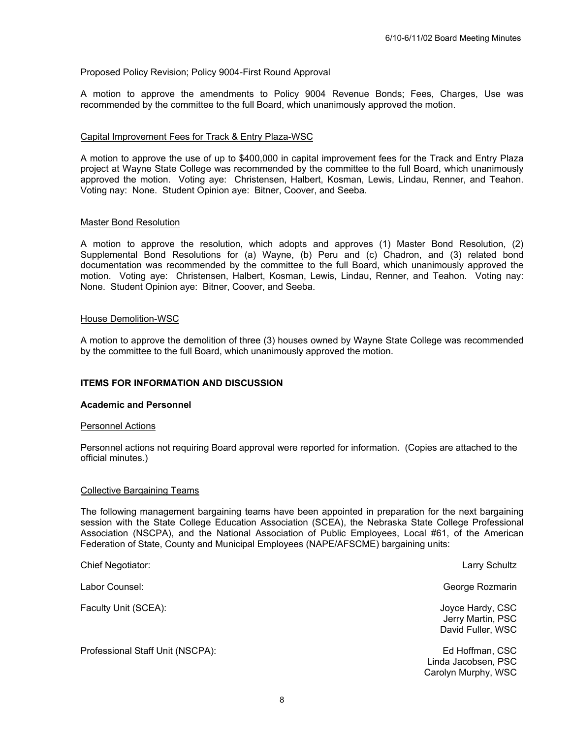## Proposed Policy Revision; Policy 9004-First Round Approval

A motion to approve the amendments to Policy 9004 Revenue Bonds; Fees, Charges, Use was recommended by the committee to the full Board, which unanimously approved the motion.

## Capital Improvement Fees for Track & Entry Plaza-WSC

A motion to approve the use of up to \$400,000 in capital improvement fees for the Track and Entry Plaza project at Wayne State College was recommended by the committee to the full Board, which unanimously approved the motion. Voting aye: Christensen, Halbert, Kosman, Lewis, Lindau, Renner, and Teahon. Voting nay: None. Student Opinion aye: Bitner, Coover, and Seeba.

#### Master Bond Resolution

A motion to approve the resolution, which adopts and approves (1) Master Bond Resolution, (2) Supplemental Bond Resolutions for (a) Wayne, (b) Peru and (c) Chadron, and (3) related bond documentation was recommended by the committee to the full Board, which unanimously approved the motion. Voting aye: Christensen, Halbert, Kosman, Lewis, Lindau, Renner, and Teahon. Voting nay: None. Student Opinion aye: Bitner, Coover, and Seeba.

#### House Demolition-WSC

A motion to approve the demolition of three (3) houses owned by Wayne State College was recommended by the committee to the full Board, which unanimously approved the motion.

#### **ITEMS FOR INFORMATION AND DISCUSSION**

## **Academic and Personnel**

#### Personnel Actions

Personnel actions not requiring Board approval were reported for information. (Copies are attached to the official minutes.)

#### Collective Bargaining Teams

The following management bargaining teams have been appointed in preparation for the next bargaining session with the State College Education Association (SCEA), the Nebraska State College Professional Association (NSCPA), and the National Association of Public Employees, Local #61, of the American Federation of State, County and Municipal Employees (NAPE/AFSCME) bargaining units:

| Labor Counsel:<br>Faculty Unit (SCEA):<br>Professional Staff Unit (NSCPA): | <b>Chief Negotiator:</b> | Larry Schultz                                                 |
|----------------------------------------------------------------------------|--------------------------|---------------------------------------------------------------|
|                                                                            |                          | George Rozmarin                                               |
|                                                                            |                          | Joyce Hardy, CSC<br>Jerry Martin, PSC<br>David Fuller, WSC    |
|                                                                            |                          | Ed Hoffman, CSC<br>Linda Jacobsen, PSC<br>Carolyn Murphy, WSC |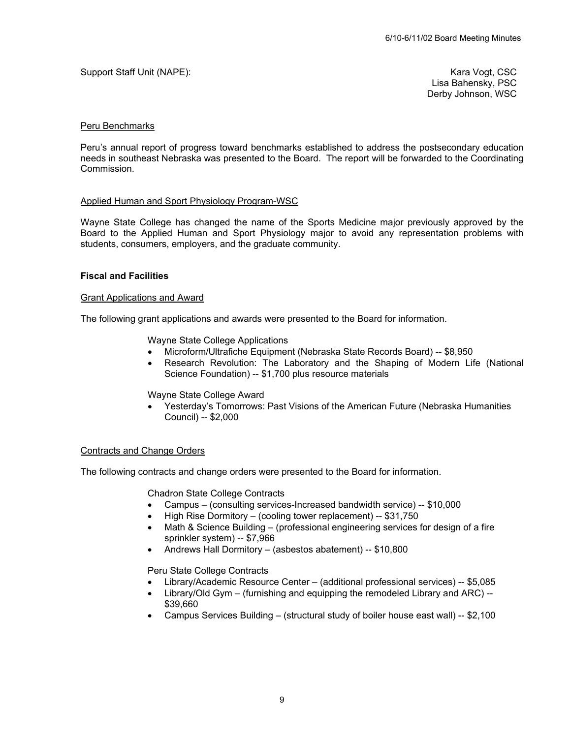# Support Staff Unit (NAPE): Kara Vogt, CSC CONSERVENT CONSERVENT CONSERVENT CONSERVENT CONSERVENT CONSERVENT CONSERVENT CONSERVENT CONSERVENT CONSERVENT CONSERVENT CONSERVENT CONSERVENT CONSERVENT CONSERVENT CONSERVENT CONS

Lisa Bahensky, PSC Derby Johnson, WSC

#### Peru Benchmarks

Peru's annual report of progress toward benchmarks established to address the postsecondary education needs in southeast Nebraska was presented to the Board. The report will be forwarded to the Coordinating Commission.

#### Applied Human and Sport Physiology Program-WSC

Wayne State College has changed the name of the Sports Medicine major previously approved by the Board to the Applied Human and Sport Physiology major to avoid any representation problems with students, consumers, employers, and the graduate community.

#### **Fiscal and Facilities**

#### Grant Applications and Award

The following grant applications and awards were presented to the Board for information.

Wayne State College Applications

- Microform/Ultrafiche Equipment (Nebraska State Records Board) -- \$8,950
- Research Revolution: The Laboratory and the Shaping of Modern Life (National Science Foundation) -- \$1,700 plus resource materials

Wayne State College Award

• Yesterday's Tomorrows: Past Visions of the American Future (Nebraska Humanities Council) -- \$2,000

#### Contracts and Change Orders

The following contracts and change orders were presented to the Board for information.

Chadron State College Contracts

- Campus (consulting services-Increased bandwidth service) -- \$10,000
- High Rise Dormitory (cooling tower replacement) -- \$31,750
- Math & Science Building (professional engineering services for design of a fire sprinkler system) -- \$7,966
- Andrews Hall Dormitory (asbestos abatement) -- \$10,800

Peru State College Contracts

- Library/Academic Resource Center (additional professional services) -- \$5,085
- Library/Old Gym (furnishing and equipping the remodeled Library and ARC) -- \$39,660
- Campus Services Building (structural study of boiler house east wall) -- \$2,100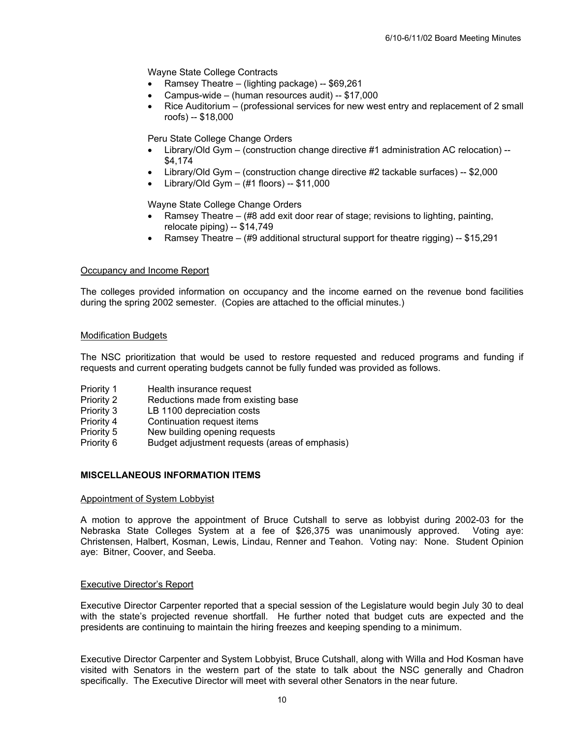Wayne State College Contracts

- Ramsey Theatre (lighting package) -- \$69,261
- Campus-wide (human resources audit) -- \$17,000
- Rice Auditorium (professional services for new west entry and replacement of 2 small roofs) -- \$18,000

Peru State College Change Orders

- Library/Old Gym (construction change directive #1 administration AC relocation) -- \$4,174
- Library/Old Gym (construction change directive #2 tackable surfaces) -- \$2,000
- Library/Old Gym  $(\#1 \text{ floors}) -$ \$11,000

Wayne State College Change Orders

- Ramsey Theatre  $#8$  add exit door rear of stage; revisions to lighting, painting, relocate piping) -- \$14,749
- Ramsey Theatre (#9 additional structural support for theatre rigging) -- \$15,291

## Occupancy and Income Report

The colleges provided information on occupancy and the income earned on the revenue bond facilities during the spring 2002 semester. (Copies are attached to the official minutes.)

#### Modification Budgets

The NSC prioritization that would be used to restore requested and reduced programs and funding if requests and current operating budgets cannot be fully funded was provided as follows.

- Priority 1 Health insurance request
- Priority 2 Reductions made from existing base
- Priority 3 LB 1100 depreciation costs
- Priority 4 Continuation request items
- Priority 5 New building opening requests
- Priority 6 Budget adjustment requests (areas of emphasis)

#### **MISCELLANEOUS INFORMATION ITEMS**

#### Appointment of System Lobbyist

A motion to approve the appointment of Bruce Cutshall to serve as lobbyist during 2002-03 for the Nebraska State Colleges System at a fee of \$26,375 was unanimously approved. Voting aye: Christensen, Halbert, Kosman, Lewis, Lindau, Renner and Teahon. Voting nay: None. Student Opinion aye: Bitner, Coover, and Seeba.

#### Executive Director's Report

Executive Director Carpenter reported that a special session of the Legislature would begin July 30 to deal with the state's projected revenue shortfall. He further noted that budget cuts are expected and the presidents are continuing to maintain the hiring freezes and keeping spending to a minimum.

Executive Director Carpenter and System Lobbyist, Bruce Cutshall, along with Willa and Hod Kosman have visited with Senators in the western part of the state to talk about the NSC generally and Chadron specifically. The Executive Director will meet with several other Senators in the near future.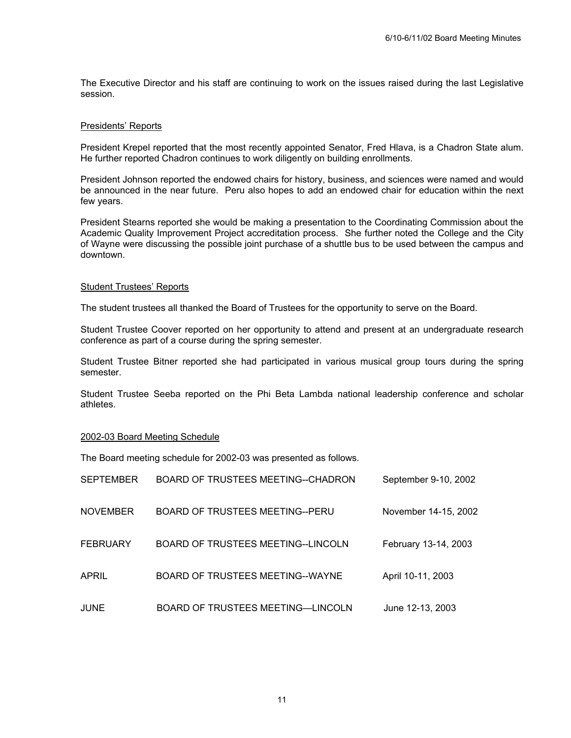The Executive Director and his staff are continuing to work on the issues raised during the last Legislative session.

#### Presidents' Reports

President Krepel reported that the most recently appointed Senator, Fred Hlava, is a Chadron State alum. He further reported Chadron continues to work diligently on building enrollments.

President Johnson reported the endowed chairs for history, business, and sciences were named and would be announced in the near future. Peru also hopes to add an endowed chair for education within the next few years.

President Stearns reported she would be making a presentation to the Coordinating Commission about the Academic Quality Improvement Project accreditation process. She further noted the College and the City of Wayne were discussing the possible joint purchase of a shuttle bus to be used between the campus and downtown.

#### Student Trustees' Reports

The student trustees all thanked the Board of Trustees for the opportunity to serve on the Board.

Student Trustee Coover reported on her opportunity to attend and present at an undergraduate research conference as part of a course during the spring semester.

Student Trustee Bitner reported she had participated in various musical group tours during the spring semester.

Student Trustee Seeba reported on the Phi Beta Lambda national leadership conference and scholar athletes.

#### 2002-03 Board Meeting Schedule

The Board meeting schedule for 2002-03 was presented as follows.

| <b>SEPTEMBER</b> | BOARD OF TRUSTEES MEETING--CHADRON | September 9-10, 2002 |
|------------------|------------------------------------|----------------------|
| <b>NOVEMBER</b>  | BOARD OF TRUSTEES MEETING--PERU    | November 14-15, 2002 |
| <b>FEBRUARY</b>  | BOARD OF TRUSTEES MEETING--LINCOLN | February 13-14, 2003 |
| APRIL            | BOARD OF TRUSTEES MEETING--WAYNE   | April 10-11, 2003    |
| <b>JUNE</b>      | BOARD OF TRUSTEES MEETING-LINCOLN  | June 12-13, 2003     |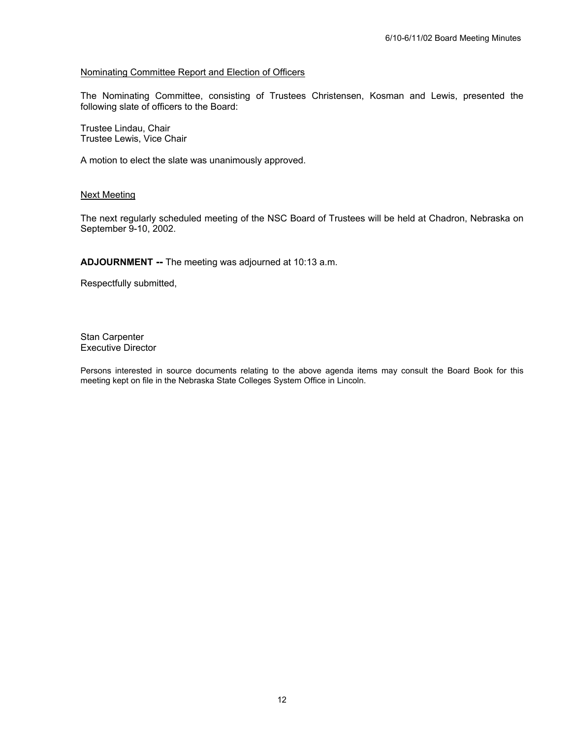# Nominating Committee Report and Election of Officers

The Nominating Committee, consisting of Trustees Christensen, Kosman and Lewis, presented the following slate of officers to the Board:

Trustee Lindau, Chair Trustee Lewis, Vice Chair

A motion to elect the slate was unanimously approved.

#### Next Meeting

The next regularly scheduled meeting of the NSC Board of Trustees will be held at Chadron, Nebraska on September 9-10, 2002.

**ADJOURNMENT --** The meeting was adjourned at 10:13 a.m.

Respectfully submitted,

Stan Carpenter Executive Director

Persons interested in source documents relating to the above agenda items may consult the Board Book for this meeting kept on file in the Nebraska State Colleges System Office in Lincoln.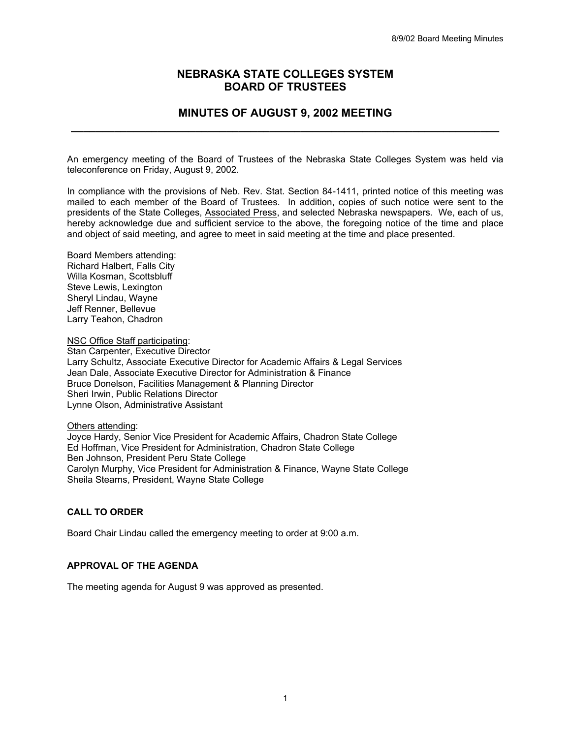# **NEBRASKA STATE COLLEGES SYSTEM BOARD OF TRUSTEES**

# **MINUTES OF AUGUST 9, 2002 MEETING \_\_\_\_\_\_\_\_\_\_\_\_\_\_\_\_\_\_\_\_\_\_\_\_\_\_\_\_\_\_\_\_\_\_\_\_\_\_\_\_\_\_\_\_\_\_\_\_\_\_\_\_\_\_\_\_\_\_\_\_\_\_\_\_\_\_\_\_\_**

An emergency meeting of the Board of Trustees of the Nebraska State Colleges System was held via teleconference on Friday, August 9, 2002.

In compliance with the provisions of Neb. Rev. Stat. Section 84-1411, printed notice of this meeting was mailed to each member of the Board of Trustees. In addition, copies of such notice were sent to the presidents of the State Colleges, Associated Press, and selected Nebraska newspapers. We, each of us, hereby acknowledge due and sufficient service to the above, the foregoing notice of the time and place and object of said meeting, and agree to meet in said meeting at the time and place presented.

Board Members attending: Richard Halbert, Falls City Willa Kosman, Scottsbluff Steve Lewis, Lexington Sheryl Lindau, Wayne Jeff Renner, Bellevue Larry Teahon, Chadron

NSC Office Staff participating: Stan Carpenter, Executive Director Larry Schultz, Associate Executive Director for Academic Affairs & Legal Services Jean Dale, Associate Executive Director for Administration & Finance Bruce Donelson, Facilities Management & Planning Director Sheri Irwin, Public Relations Director Lynne Olson, Administrative Assistant

Others attending: Joyce Hardy, Senior Vice President for Academic Affairs, Chadron State College Ed Hoffman, Vice President for Administration, Chadron State College Ben Johnson, President Peru State College Carolyn Murphy, Vice President for Administration & Finance, Wayne State College Sheila Stearns, President, Wayne State College

#### **CALL TO ORDER**

Board Chair Lindau called the emergency meeting to order at 9:00 a.m.

## **APPROVAL OF THE AGENDA**

The meeting agenda for August 9 was approved as presented.